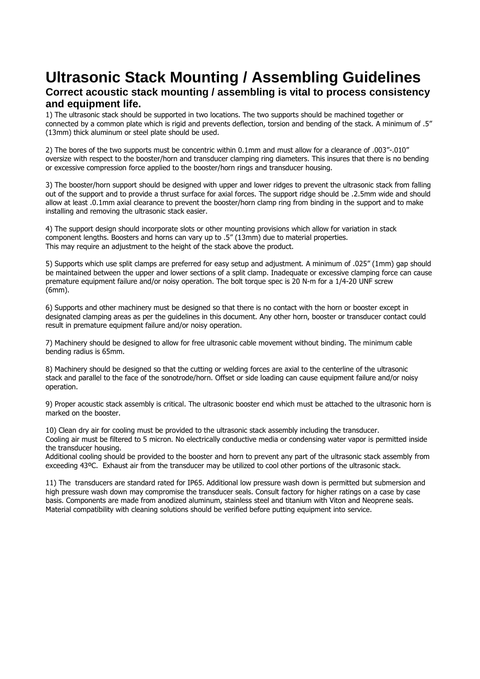# **Ultrasonic Stack Mounting / Assembling Guidelines Correct acoustic stack mounting / assembling is vital to process consistency and equipment life.**

1) The ultrasonic stack should be supported in two locations. The two supports should be machined together or connected by a common plate which is rigid and prevents deflection, torsion and bending of the stack. A minimum of .5" (13mm) thick aluminum or steel plate should be used.

2) The bores of the two supports must be concentric within 0.1mm and must allow for a clearance of .003"-.010" oversize with respect to the booster/horn and transducer clamping ring diameters. This insures that there is no bending or excessive compression force applied to the booster/horn rings and transducer housing.

3) The booster/horn support should be designed with upper and lower ridges to prevent the ultrasonic stack from falling out of the support and to provide a thrust surface for axial forces. The support ridge should be .2.5mm wide and should allow at least .0.1mm axial clearance to prevent the booster/horn clamp ring from binding in the support and to make installing and removing the ultrasonic stack easier.

4) The support design should incorporate slots or other mounting provisions which allow for variation in stack component lengths. Boosters and horns can vary up to .5" (13mm) due to material properties. This may require an adjustment to the height of the stack above the product.

5) Supports which use split clamps are preferred for easy setup and adjustment. A minimum of .025" (1mm) gap should be maintained between the upper and lower sections of a split clamp. Inadequate or excessive clamping force can cause premature equipment failure and/or noisy operation. The bolt torque spec is 20 N-m for a 1/4-20 UNF screw (6mm).

6) Supports and other machinery must be designed so that there is no contact with the horn or booster except in designated clamping areas as per the guidelines in this document. Any other horn, booster or transducer contact could result in premature equipment failure and/or noisy operation.

7) Machinery should be designed to allow for free ultrasonic cable movement without binding. The minimum cable bending radius is 65mm.

8) Machinery should be designed so that the cutting or welding forces are axial to the centerline of the ultrasonic stack and parallel to the face of the sonotrode/horn. Offset or side loading can cause equipment failure and/or noisy operation.

9) Proper acoustic stack assembly is critical. The ultrasonic booster end which must be attached to the ultrasonic horn is marked on the booster.

10) Clean dry air for cooling must be provided to the ultrasonic stack assembly including the transducer. Cooling air must be filtered to 5 micron. No electrically conductive media or condensing water vapor is permitted inside the transducer housing.

Additional cooling should be provided to the booster and horn to prevent any part of the ultrasonic stack assembly from exceeding 43ºC. Exhaust air from the transducer may be utilized to cool other portions of the ultrasonic stack.

11) The transducers are standard rated for IP65. Additional low pressure wash down is permitted but submersion and high pressure wash down may compromise the transducer seals. Consult factory for higher ratings on a case by case basis. Components are made from anodized aluminum, stainless steel and titanium with Viton and Neoprene seals. Material compatibility with cleaning solutions should be verified before putting equipment into service.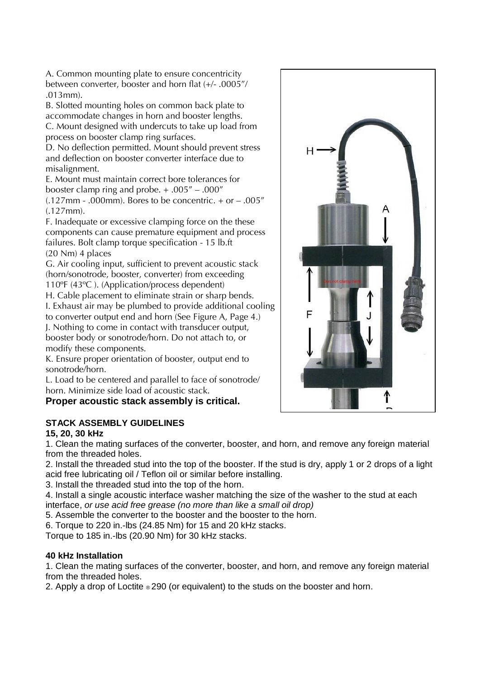A. Common mounting plate to ensure concentricity between converter, booster and horn flat (+/- .0005"/ .013mm).

B. Slotted mounting holes on common back plate to accommodate changes in horn and booster lengths. C. Mount designed with undercuts to take up load from process on booster clamp ring surfaces.

D. No deflection permitted. Mount should prevent stress and deflection on booster converter interface due to misalignment.

E. Mount must maintain correct bore tolerances for booster clamp ring and probe. + .005" – .000"

 $(.127mm - .000mm)$ . Bores to be concentric. + or - .005" (.127mm).

F. Inadequate or excessive clamping force on the these components can cause premature equipment and process failures. Bolt clamp torque specification - 15 lb.ft (20 Nm) 4 places

G. Air cooling input, sufficient to prevent acoustic stack (horn/sonotrode, booster, converter) from exceeding 110ºF (43ºC ). (Application/process dependent)

H. Cable placement to eliminate strain or sharp bends. I. Exhaust air may be plumbed to provide additional cooling to converter output end and horn (See Figure A, Page 4.)

J. Nothing to come in contact with transducer output, booster body or sonotrode/horn. Do not attach to, or modify these components.

K. Ensure proper orientation of booster, output end to sonotrode/horn.

L. Load to be centered and parallel to face of sonotrode/ horn. Minimize side load of acoustic stack.

**Proper acoustic stack assembly is critical.**

## **STACK ASSEMBLY GUIDELINES**

## **15, 20, 30 kHz**

1. Clean the mating surfaces of the converter, booster, and horn, and remove any foreign material from the threaded holes.

2. Install the threaded stud into the top of the booster. If the stud is dry, apply 1 or 2 drops of a light acid free lubricating oil / Teflon oil or similar before installing.

3. Install the threaded stud into the top of the horn.

4. Install a single acoustic interface washer matching the size of the washer to the stud at each interface, *or use acid free grease (no more than like a small oil drop)*

5. Assemble the converter to the booster and the booster to the horn.

6. Torque to 220 in.-lbs (24.85 Nm) for 15 and 20 kHz stacks.

Torque to 185 in.-lbs (20.90 Nm) for 30 kHz stacks.

### **40 kHz Installation**

1. Clean the mating surfaces of the converter, booster, and horn, and remove any foreign material from the threaded holes.

2. Apply a drop of Loctite ® 290 (or equivalent) to the studs on the booster and horn.